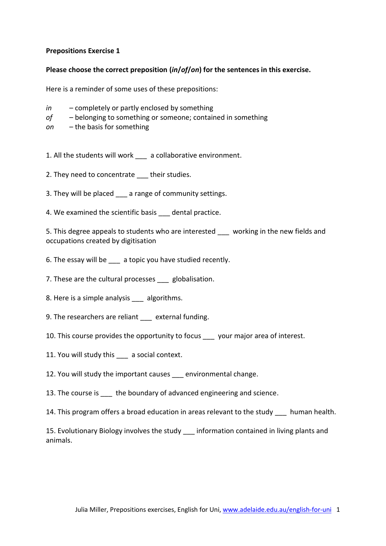### **Prepositions Exercise 1**

#### **Please choose the correct preposition (***in***/***of***/***on***) for the sentences in this exercise.**

Here is a reminder of some uses of these prepositions:

- *in* completely or partly enclosed by something
- *of* belonging to something or someone; contained in something
- *on* the basis for something
- 1. All the students will work a collaborative environment.
- 2. They need to concentrate their studies.
- 3. They will be placed a range of community settings.
- 4. We examined the scientific basis \_\_\_ dental practice.

5. This degree appeals to students who are interested working in the new fields and occupations created by digitisation

- 6. The essay will be \_\_\_ a topic you have studied recently.
- 7. These are the cultural processes \_\_\_ globalisation.
- 8. Here is a simple analysis algorithms.
- 9. The researchers are reliant external funding.
- 10. This course provides the opportunity to focus your major area of interest.
- 11. You will study this a social context.
- 12. You will study the important causes environmental change.
- 13. The course is the boundary of advanced engineering and science.
- 14. This program offers a broad education in areas relevant to the study human health.

15. Evolutionary Biology involves the study \_\_\_ information contained in living plants and animals.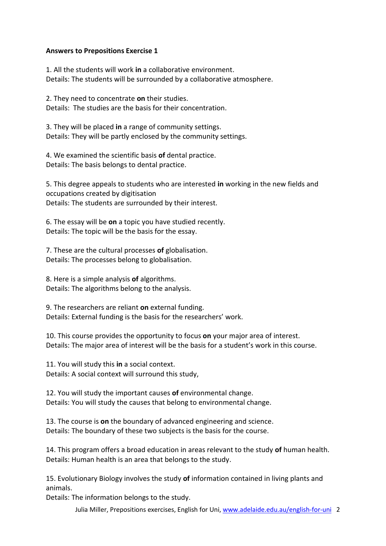### **Answers to Prepositions Exercise 1**

1. All the students will work **in** a collaborative environment. Details: The students will be surrounded by a collaborative atmosphere.

2. They need to concentrate **on** their studies. Details: The studies are the basis for their concentration.

3. They will be placed **in** a range of community settings. Details: They will be partly enclosed by the community settings.

4. We examined the scientific basis **of** dental practice. Details: The basis belongs to dental practice.

5. This degree appeals to students who are interested **in** working in the new fields and occupations created by digitisation Details: The students are surrounded by their interest.

6. The essay will be **on** a topic you have studied recently. Details: The topic will be the basis for the essay.

7. These are the cultural processes **of** globalisation. Details: The processes belong to globalisation.

8. Here is a simple analysis **of** algorithms. Details: The algorithms belong to the analysis.

9. The researchers are reliant **on** external funding. Details: External funding is the basis for the researchers' work.

10. This course provides the opportunity to focus **on** your major area of interest. Details: The major area of interest will be the basis for a student's work in this course.

11. You will study this **in** a social context. Details: A social context will surround this study,

12. You will study the important causes **of** environmental change. Details: You will study the causes that belong to environmental change.

13. The course is **on** the boundary of advanced engineering and science. Details: The boundary of these two subjects is the basis for the course.

14. This program offers a broad education in areas relevant to the study **of** human health. Details: Human health is an area that belongs to the study.

15. Evolutionary Biology involves the study **of** information contained in living plants and animals.

Details: The information belongs to the study.

Julia Miller, Prepositions exercises, English for Uni, www.adelaide.edu.au/english-for-uni 2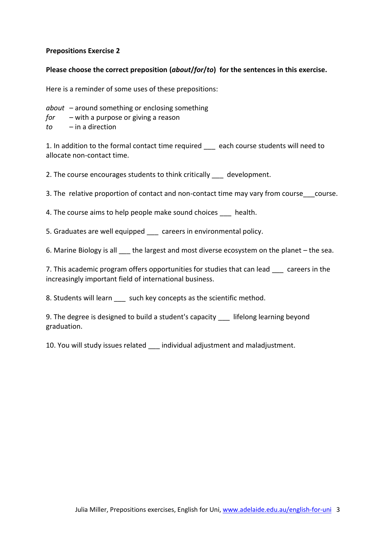### **Prepositions Exercise 2**

# **Please choose the correct preposition (***about***/***for***/***to***) for the sentences in this exercise.**

Here is a reminder of some uses of these prepositions:

*about* – around something or enclosing something

- *for* with a purpose or giving a reason
- *to* in a direction

1. In addition to the formal contact time required each course students will need to allocate non-contact time.

2. The course encourages students to think critically development.

3. The relative proportion of contact and non-contact time may vary from course course.

4. The course aims to help people make sound choices \_\_\_\_ health.

5. Graduates are well equipped careers in environmental policy.

6. Marine Biology is all the largest and most diverse ecosystem on the planet – the sea.

7. This academic program offers opportunities for studies that can lead careers in the increasingly important field of international business.

8. Students will learn such key concepts as the scientific method.

9. The degree is designed to build a student's capacity lifelong learning beyond graduation.

10. You will study issues related individual adjustment and maladjustment.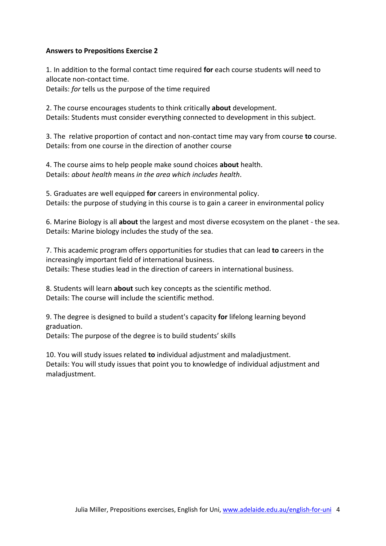### **Answers to Prepositions Exercise 2**

1. In addition to the formal contact time required **for** each course students will need to allocate non-contact time.

Details: *for* tells us the purpose of the time required

2. The course encourages students to think critically **about** development. Details: Students must consider everything connected to development in this subject.

3. The relative proportion of contact and non-contact time may vary from course **to** course. Details: from one course in the direction of another course

4. The course aims to help people make sound choices **about** health. Details: *about health* means *in the area which includes health*.

5. Graduates are well equipped **for** careers in environmental policy. Details: the purpose of studying in this course is to gain a career in environmental policy

6. Marine Biology is all **about** the largest and most diverse ecosystem on the planet - the sea. Details: Marine biology includes the study of the sea.

7. This academic program offers opportunities for studies that can lead **to** careers in the increasingly important field of international business. Details: These studies lead in the direction of careers in international business.

8. Students will learn **about** such key concepts as the scientific method. Details: The course will include the scientific method.

9. The degree is designed to build a student's capacity **for** lifelong learning beyond graduation.

Details: The purpose of the degree is to build students' skills

10. You will study issues related **to** individual adjustment and maladjustment. Details: You will study issues that point you to knowledge of individual adjustment and maladjustment.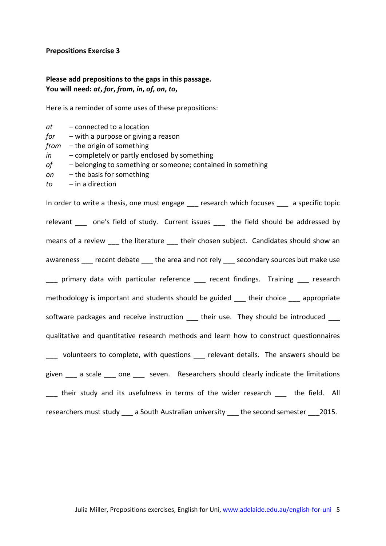#### **Prepositions Exercise 3**

*at* – connected to a location

*from* – the origin of something

*for* – with a purpose or giving a reason

# **Please add prepositions to the gaps in this passage. You will need:** *at***,** *for***,** *from***,** *in***,** *of***,** *on***,** *to***,**

Here is a reminder of some uses of these prepositions:

*in* – completely or partly enclosed by something

| οf<br>- belonging to something or someone; contained in something<br>- the basis for something<br>on<br>$-$ in a direction<br>to |
|----------------------------------------------------------------------------------------------------------------------------------|
| In order to write a thesis, one must engage ___ research which focuses ___ a specific topic                                      |
| relevant ____ one's field of study. Current issues ____ the field should be addressed by                                         |
| means of a review ____ the literature ____ their chosen subject. Candidates should show an                                       |
| awareness ___ recent debate ___ the area and not rely ___ secondary sources but make use                                         |
| __ primary data with particular reference __ recent findings. Training __ research                                               |
| methodology is important and students should be guided ___ their choice ___ appropriate                                          |
| software packages and receive instruction ___ their use. They should be introduced ___                                           |
| qualitative and quantitative research methods and learn how to construct questionnaires                                          |
| ___ volunteers to complete, with questions ___ relevant details. The answers should be                                           |
| given _____ a scale ______ one ______ seven. Researchers should clearly indicate the limitations                                 |
| __ their study and its usefulness in terms of the wider research __ the field. All                                               |
| researchers must study ___ a South Australian university ___ the second semester ___ 2015.                                       |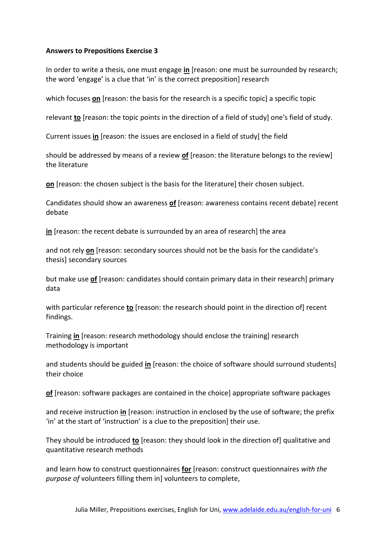## **Answers to Prepositions Exercise 3**

In order to write a thesis, one must engage **in** [reason: one must be surrounded by research; the word 'engage' is a clue that 'in' is the correct preposition] research

which focuses **on** [reason: the basis for the research is a specific topic] a specific topic

relevant **to** [reason: the topic points in the direction of a field of study] one's field of study.

Current issues **in** [reason: the issues are enclosed in a field of study] the field

should be addressed by means of a review **of** [reason: the literature belongs to the review] the literature

**on** [reason: the chosen subject is the basis for the literature] their chosen subject.

Candidates should show an awareness **of** [reason: awareness contains recent debate] recent debate

**in** [reason: the recent debate is surrounded by an area of research] the area

and not rely **on** [reason: secondary sources should not be the basis for the candidate's thesis] secondary sources

but make use **of** [reason: candidates should contain primary data in their research] primary data

with particular reference **to** [reason: the research should point in the direction of] recent findings.

Training **in** [reason: research methodology should enclose the training] research methodology is important

and students should be guided **in** [reason: the choice of software should surround students] their choice

**of** [reason: software packages are contained in the choice] appropriate software packages

and receive instruction **in** [reason: instruction in enclosed by the use of software; the prefix 'in' at the start of 'instruction' is a clue to the preposition] their use.

They should be introduced **to** [reason: they should look in the direction of] qualitative and quantitative research methods

and learn how to construct questionnaires **for** [reason: construct questionnaires *with the purpose of* volunteers filling them in] volunteers to complete,